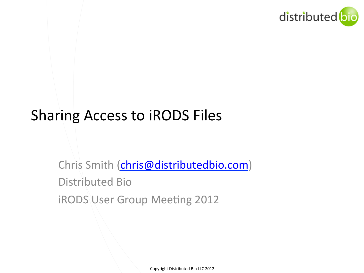

## Sharing Access to iRODS Files

Chris Smith (chris@distributedbio.com) Distributed Bio iRODS User Group Meeting 2012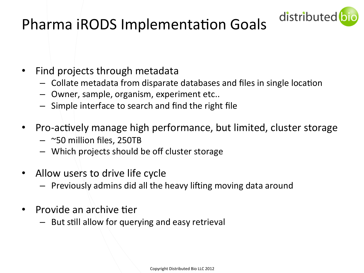

## Pharma iRODS Implementation Goals

- Find projects through metadata
	- Collate metadata from disparate databases and files in single location
	- $-$  Owner, sample, organism, experiment etc..
	- $-$  Simple interface to search and find the right file
- Pro-actively manage high performance, but limited, cluster storage
	- $-$  ~50 million files, 250TB
	- Which projects should be off cluster storage
- Allow users to drive life cycle
	- $-$  Previously admins did all the heavy lifting moving data around
- **Provide an archive tier** 
	- $-$  But still allow for querying and easy retrieval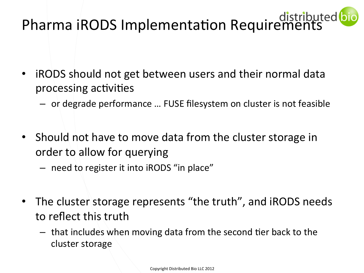# Pharma iRODS Implementation Requirements

- iRODS should not get between users and their normal data processing activities
	- $-$  or degrade performance ... FUSE filesystem on cluster is not feasible
- Should not have to move data from the cluster storage in order to allow for querying
	- need to register it into iRODS "in place"
- The cluster storage represents "the truth", and iRODS needs to reflect this truth
	- $-$  that includes when moving data from the second tier back to the cluster storage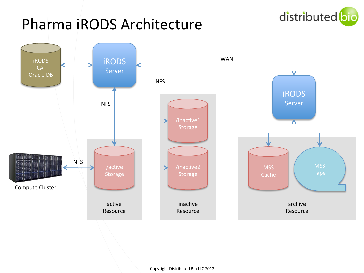

### Pharma iRODS Architecture

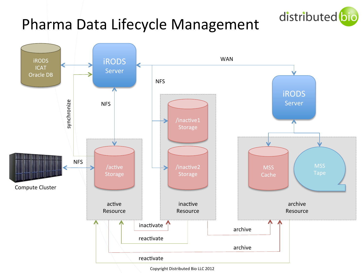## Pharma Data Lifecycle Management





Copyright Distributed Bio LLC 2012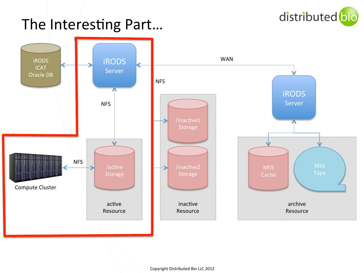

### The Interesting Part...

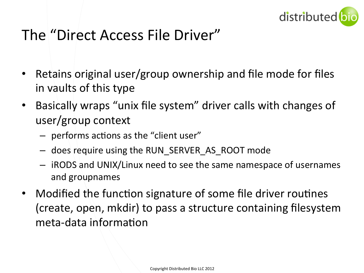

#### The "Direct Access File Driver"

- Retains original user/group ownership and file mode for files in vaults of this type
- Basically wraps "unix file system" driver calls with changes of user/group context
	- $-$  performs actions as the "client user"
	- $-$  does require using the RUN\_SERVER\_AS\_ROOT mode
	- $-$  iRODS and UNIX/Linux need to see the same namespace of usernames and groupnames
- Modified the function signature of some file driver routines (create, open, mkdir) to pass a structure containing filesystem meta-data information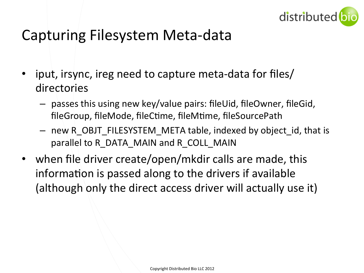

#### Capturing Filesystem Meta-data

- iput, irsync, ireg need to capture meta-data for files/ directories
	- $-$  passes this using new key/value pairs: fileUid, fileOwner, fileGid, fileGroup, fileMode, fileCtime, fileMtime, fileSourcePath
	- $-$  new R OBJT FILESYSTEM META table, indexed by object id, that is parallel to R\_DATA\_MAIN and R\_COLL\_MAIN
- when file driver create/open/mkdir calls are made, this information is passed along to the drivers if available (although only the direct access driver will actually use it)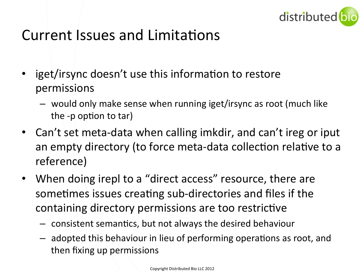

#### Current Issues and Limitations

- iget/irsync doesn't use this information to restore permissions
	- $-$  would only make sense when running iget/irsync as root (much like the  $-p$  option to tar)
- Can't set meta-data when calling imkdir, and can't ireg or iput an empty directory (to force meta-data collection relative to a reference)
- When doing irepl to a "direct access" resource, there are sometimes issues creating sub-directories and files if the containing directory permissions are too restrictive
	- $-$  consistent semantics, but not always the desired behaviour
	- $-$  adopted this behaviour in lieu of performing operations as root, and then fixing up permissions